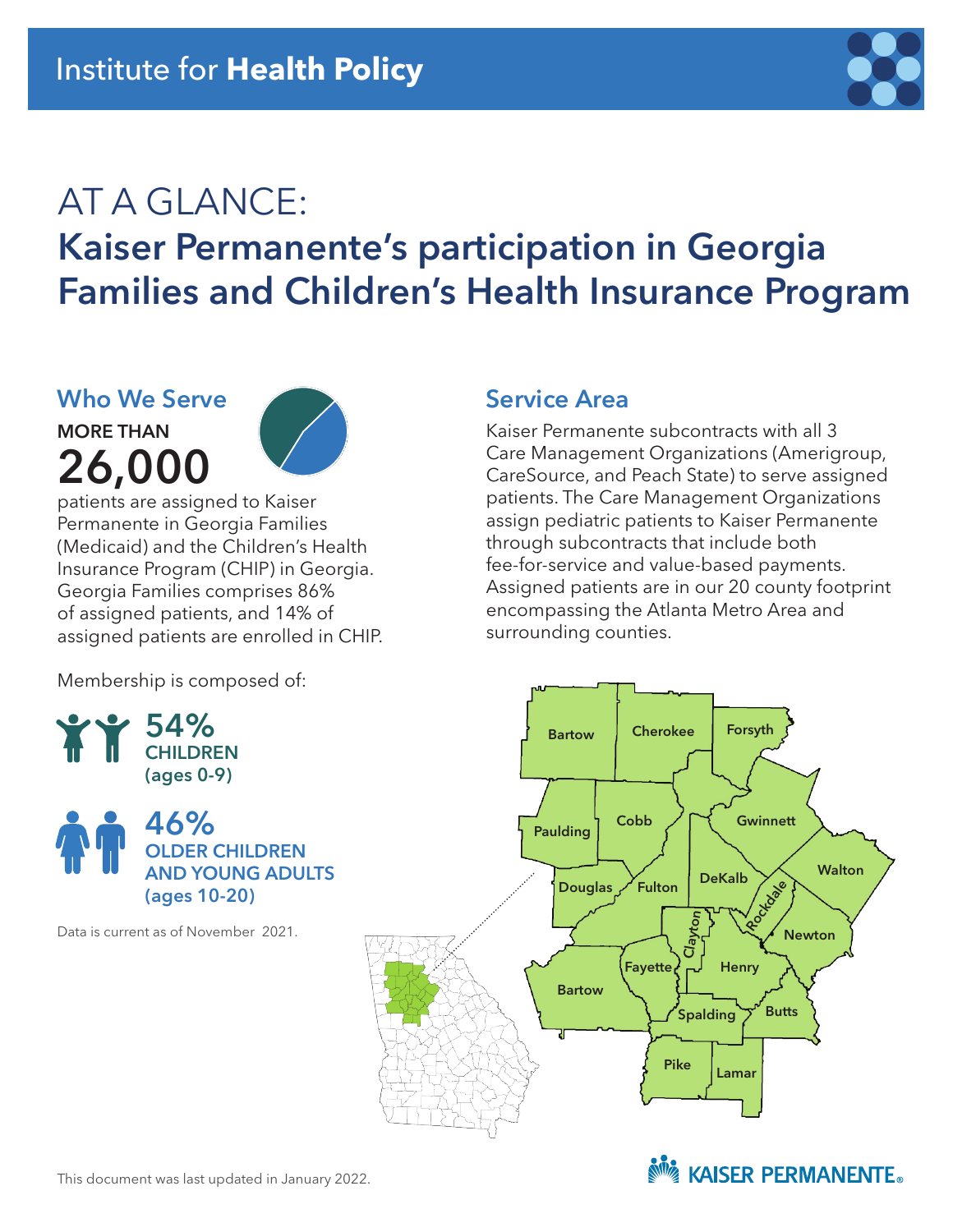

# AT A GLANCE: Kaiser Permanente's participation in Georgia Families and Children's Health Insurance Program

## **Who We Serve**

MORE THAN 26,000



patients are assigned to Kaiser Permanente in Georgia Families (Medicaid) and the Children's Health Insurance Program (CHIP) in Georgia. Georgia Families comprises 86% of assigned patients, and 14% of assigned patients are enrolled in CHIP.

Membership is composed of:





Data is current as of November 2021.

### **Service Area**

Kaiser Permanente subcontracts with all 3 Care Management Organizations (Amerigroup, CareSource, and Peach State) to serve assigned patients. The Care Management Organizations assign pediatric patients to Kaiser Permanente through subcontracts that include both fee-for-service and value-based payments. Assigned patients are in our 20 county footprint encompassing the Atlanta Metro Area and surrounding counties.



**NOW KAISER PERMANENTE.**